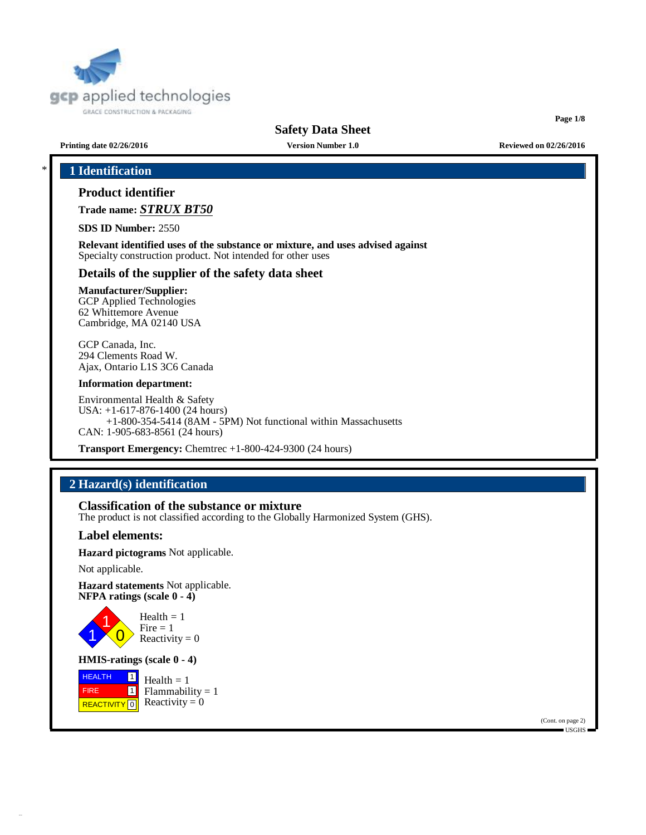

**Page 1/8**

**Printing date 02/26/2016 Version Number 1.0 Reviewed on 02/26/2016**

# \* **1 Identification**

## **Product identifier**

**Trade name:** *STRUX BT50*

**SDS ID Number:** 2550

**Relevant identified uses of the substance or mixture, and uses advised against** Specialty construction product. Not intended for other uses

### **Details of the supplier of the safety data sheet**

### **Manufacturer/Supplier:**

GCP Applied Technologies 62 Whittemore Avenue Cambridge, MA 02140 USA

GCP Canada, Inc. 294 Clements Road W. Ajax, Ontario L1S 3C6 Canada

#### **Information department:**

Environmental Health & Safety USA: +1-617-876-1400 (24 hours) +1-800-354-5414 (8AM - 5PM) Not functional within Massachusetts CAN: 1-905-683-8561 (24 hours)

**Transport Emergency:** Chemtrec +1-800-424-9300 (24 hours)

# **2 Hazard(s) identification**

**Classification of the substance or mixture**

The product is not classified according to the Globally Harmonized System (GHS).

### **Label elements:**

**Hazard pictograms** Not applicable.

Not applicable.

**Hazard statements** Not applicable. **NFPA ratings (scale 0 - 4)**



 $Health = 1$ Fire  $= 1$ Reactivity  $= 0$ 

### **HMIS-ratings (scale 0 - 4)**

**HEALTH**  FIRE REACTIVITY  $\boxed{0}$  Reactivity = 0  $\boxed{1}$ 1 Health  $= 1$  $Flammability = 1$ 

> (Cont. on page 2) USGHS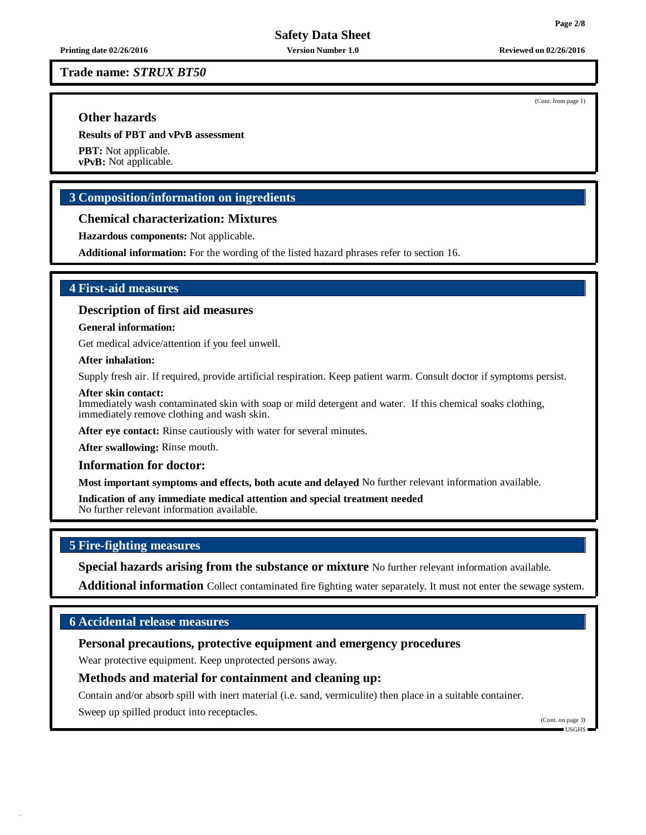**Printing date 02/26/2016 Version Number 1.0 Reviewed on 02/26/2016**

**Trade name:** *STRUX BT50*

### **Other hazards**

**Results of PBT and vPvB assessment**

**PBT:** Not applicable. **vPvB:** Not applicable.

### **3 Composition/information on ingredients**

#### **Chemical characterization: Mixtures**

**Hazardous components:** Not applicable.

**Additional information:** For the wording of the listed hazard phrases refer to section 16.

### **4 First-aid measures**

#### **Description of first aid measures**

### **General information:**

Get medical advice/attention if you feel unwell.

### **After inhalation:**

Supply fresh air. If required, provide artificial respiration. Keep patient warm. Consult doctor if symptoms persist.

#### **After skin contact:**

Immediately wash contaminated skin with soap or mild detergent and water. If this chemical soaks clothing, immediately remove clothing and wash skin.

**After eye contact:** Rinse cautiously with water for several minutes.

**After swallowing:** Rinse mouth.

#### **Information for doctor:**

**Most important symptoms and effects, both acute and delayed** No further relevant information available.

**Indication of any immediate medical attention and special treatment needed** No further relevant information available.

## **5 Fire-fighting measures**

**Special hazards arising from the substance or mixture** No further relevant information available.

**Additional information** Collect contaminated fire fighting water separately. It must not enter the sewage system.

### **6 Accidental release measures**

### **Personal precautions, protective equipment and emergency procedures**

Wear protective equipment. Keep unprotected persons away.

### **Methods and material for containment and cleaning up:**

Contain and/or absorb spill with inert material (i.e. sand, vermiculite) then place in a suitable container.

Sweep up spilled product into receptacles.

(Cont. on page 3)  $\blacksquare$  USGHS

(Cont. from page 1)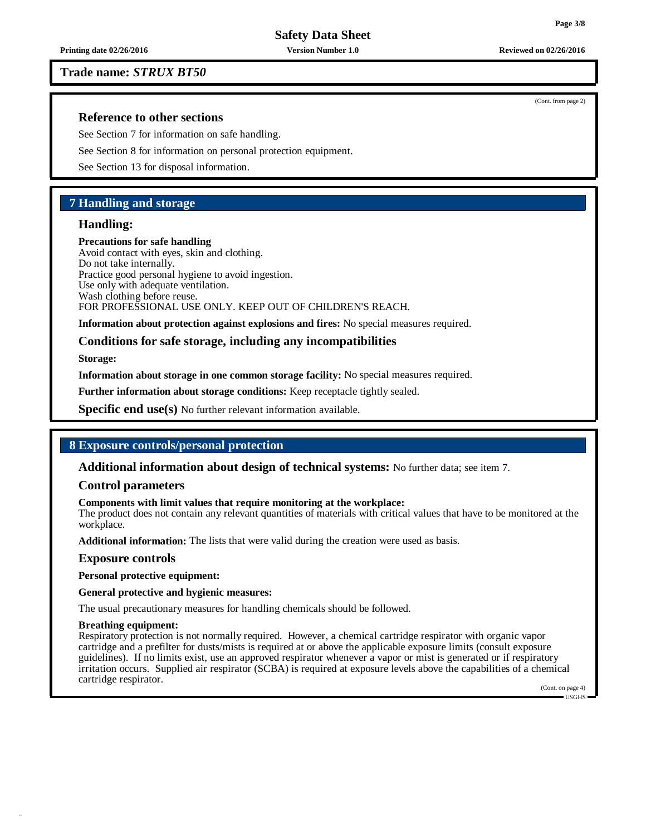**Printing date 02/26/2016 Version Number 1.0 Reviewed on 02/26/2016**

### **Trade name:** *STRUX BT50*

### **Reference to other sections**

See Section 7 for information on safe handling.

See Section 8 for information on personal protection equipment.

See Section 13 for disposal information.

### **7 Handling and storage**

### **Handling:**

**Precautions for safe handling**

Avoid contact with eyes, skin and clothing. Do not take internally. Practice good personal hygiene to avoid ingestion. Use only with adequate ventilation. Wash clothing before reuse. FOR PROFESSIONAL USE ONLY. KEEP OUT OF CHILDREN'S REACH.

**Information about protection against explosions and fires:** No special measures required.

### **Conditions for safe storage, including any incompatibilities**

**Storage:**

**Information about storage in one common storage facility:** No special measures required.

**Further information about storage conditions:** Keep receptacle tightly sealed.

**Specific end use(s)** No further relevant information available.

### **8 Exposure controls/personal protection**

**Additional information about design of technical systems:** No further data; see item 7.

#### **Control parameters**

#### **Components with limit values that require monitoring at the workplace:**

The product does not contain any relevant quantities of materials with critical values that have to be monitored at the workplace.

**Additional information:** The lists that were valid during the creation were used as basis.

#### **Exposure controls**

**Personal protective equipment:**

### **General protective and hygienic measures:**

The usual precautionary measures for handling chemicals should be followed.

#### **Breathing equipment:**

Respiratory protection is not normally required. However, a chemical cartridge respirator with organic vapor cartridge and a prefilter for dusts/mists is required at or above the applicable exposure limits (consult exposure guidelines). If no limits exist, use an approved respirator whenever a vapor or mist is generated or if respiratory irritation occurs. Supplied air respirator (SCBA) is required at exposure levels above the capabilities of a chemical cartridge respirator.

(Cont. on page 4)

(Cont. from page 2)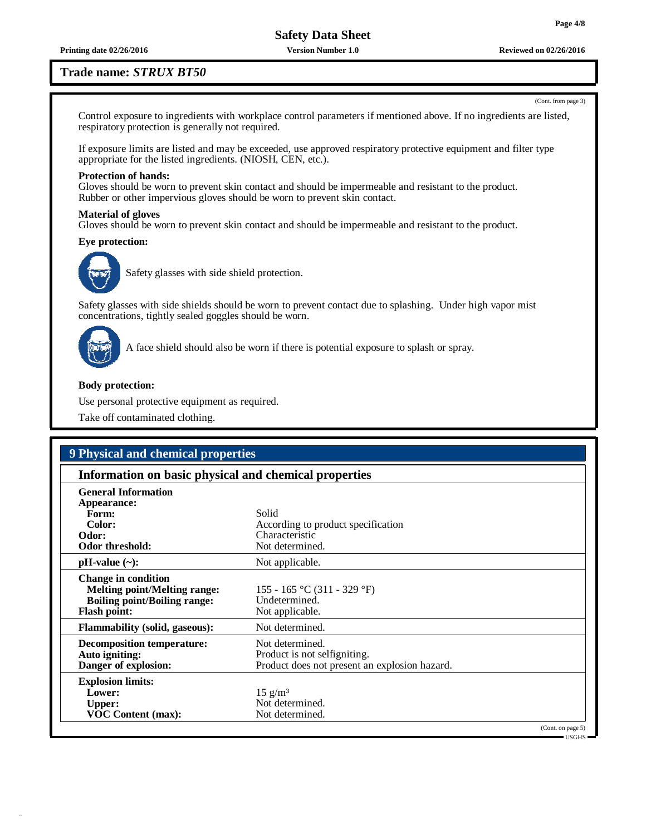**Printing date 02/26/2016 Version Number 1.0 Reviewed on 02/26/2016**

### **Trade name:** *STRUX BT50*

Control exposure to ingredients with workplace control parameters if mentioned above. If no ingredients are listed, respiratory protection is generally not required.

If exposure limits are listed and may be exceeded, use approved respiratory protective equipment and filter type appropriate for the listed ingredients. (NIOSH, CEN, etc.).

#### **Protection of hands:**

Gloves should be worn to prevent skin contact and should be impermeable and resistant to the product. Rubber or other impervious gloves should be worn to prevent skin contact.

#### **Material of gloves**

Gloves should be worn to prevent skin contact and should be impermeable and resistant to the product.

#### **Eye protection:**



Safety glasses with side shield protection.

Safety glasses with side shields should be worn to prevent contact due to splashing. Under high vapor mist concentrations, tightly sealed goggles should be worn.



A face shield should also be worn if there is potential exposure to splash or spray.

#### **Body protection:**

Use personal protective equipment as required.

Take off contaminated clothing.

# **9 Physical and chemical properties**

| Information on basic physical and chemical properties                                                                           |                                                                                                  |  |  |  |
|---------------------------------------------------------------------------------------------------------------------------------|--------------------------------------------------------------------------------------------------|--|--|--|
| <b>General Information</b><br>Appearance:<br>Form:<br>Color:<br>Odor:<br>Odor threshold:                                        | Solid<br>According to product specification<br>Characteristic<br>Not determined.                 |  |  |  |
| $pH-value$ (~):                                                                                                                 | Not applicable.                                                                                  |  |  |  |
| <b>Change in condition</b><br><b>Melting point/Melting range:</b><br><b>Boiling point/Boiling range:</b><br><b>Flash point:</b> | 155 - 165 °C (311 - 329 °F)<br>Undetermined.<br>Not applicable.                                  |  |  |  |
| <b>Flammability (solid, gaseous):</b>                                                                                           | Not determined.                                                                                  |  |  |  |
| <b>Decomposition temperature:</b><br>Auto igniting:<br>Danger of explosion:                                                     | Not determined.<br>Product is not selfigniting.<br>Product does not present an explosion hazard. |  |  |  |
| <b>Explosion limits:</b><br>Lower:<br><b>Upper:</b><br><b>VOC Content (max):</b>                                                | $15 \text{ g/m}^3$<br>Not determined.<br>Not determined.                                         |  |  |  |
|                                                                                                                                 | (Cont. on page 5)                                                                                |  |  |  |

USGHS

(Cont. from page 3)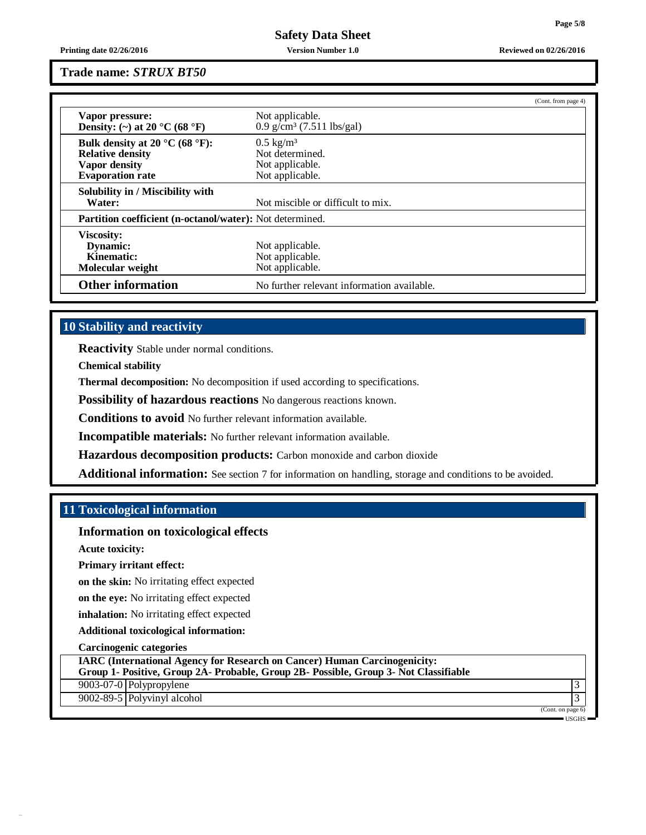**Printing date 02/26/2016 Version Number 1.0 Reviewed on 02/26/2016**

**Trade name:** *STRUX BT50*

|                                                                                                       |                                                                               | (Cont. from page 4) |  |  |
|-------------------------------------------------------------------------------------------------------|-------------------------------------------------------------------------------|---------------------|--|--|
| Vapor pressure:<br>Density: (~) at 20 $^{\circ}$ C (68 $^{\circ}$ F)                                  | Not applicable.<br>$0.9$ g/cm <sup>3</sup> (7.511 lbs/gal)                    |                     |  |  |
| Bulk density at 20 °C (68 °F):<br><b>Relative density</b><br>Vapor density<br><b>Evaporation</b> rate | $0.5 \text{ kg/m}^3$<br>Not determined.<br>Not applicable.<br>Not applicable. |                     |  |  |
| Solubility in / Miscibility with<br>Water:                                                            | Not miscible or difficult to mix.                                             |                     |  |  |
| <b>Partition coefficient (n-octanol/water):</b> Not determined.                                       |                                                                               |                     |  |  |
| Viscosity:<br>Dynamic:<br>Kinematic:<br>Molecular weight                                              | Not applicable.<br>Not applicable.<br>Not applicable.                         |                     |  |  |
| <b>Other information</b>                                                                              | No further relevant information available.                                    |                     |  |  |

## **10 Stability and reactivity**

**Reactivity** Stable under normal conditions.

**Chemical stability**

**Thermal decomposition:** No decomposition if used according to specifications.

**Possibility of hazardous reactions** No dangerous reactions known.

**Conditions to avoid** No further relevant information available.

**Incompatible materials:** No further relevant information available.

**Hazardous decomposition products:** Carbon monoxide and carbon dioxide

**Additional information:** See section 7 for information on handling, storage and conditions to be avoided.

### **11 Toxicological information**

**Information on toxicological effects**

**Acute toxicity:**

**Primary irritant effect:**

**on the skin:** No irritating effect expected

**on the eye:** No irritating effect expected

**inhalation:** No irritating effect expected

**Additional toxicological information:**

**Carcinogenic categories**

**IARC (International Agency for Research on Cancer) Human Carcinogenicity:**

**Group 1- Positive, Group 2A- Probable, Group 2B- Possible, Group 3- Not Classifiable**

9003-07-0 Polypropylene 3

9002-89-5 Polyvinyl alcohol 3

(Cont. on page 6) USGHS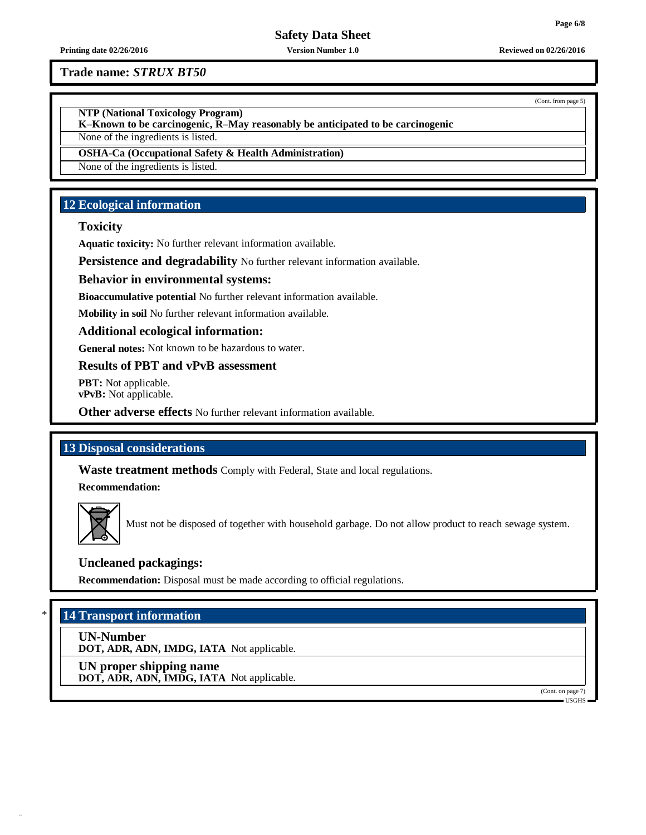(Cont. from page 5)

# **Safety Data Sheet**

#### **Printing date 02/26/2016 Version Number 1.0 Reviewed on 02/26/2016**

**Trade name:** *STRUX BT50*

**NTP (National Toxicology Program)**

**K–Known to be carcinogenic, R–May reasonably be anticipated to be carcinogenic**

None of the ingredients is listed.

**OSHA-Ca (Occupational Safety & Health Administration)**

None of the ingredients is listed.

# **12 Ecological information**

### **Toxicity**

**Aquatic toxicity:** No further relevant information available.

**Persistence and degradability** No further relevant information available.

### **Behavior in environmental systems:**

**Bioaccumulative potential** No further relevant information available.

**Mobility in soil** No further relevant information available.

### **Additional ecological information:**

**General notes:** Not known to be hazardous to water.

### **Results of PBT and vPvB assessment**

**PBT:** Not applicable. **vPvB:** Not applicable.

**Other adverse effects** No further relevant information available.

### **13 Disposal considerations**

**Waste treatment methods** Comply with Federal, State and local regulations.

**Recommendation:**



Must not be disposed of together with household garbage. Do not allow product to reach sewage system.

### **Uncleaned packagings:**

**Recommendation:** Disposal must be made according to official regulations.

# \* **14 Transport information**

**UN-Number**

**DOT, ADR, ADN, IMDG, IATA** Not applicable.

**UN proper shipping name DOT, ADR, ADN, IMDG, IATA** Not applicable.

(Cont. on page 7)

USGHS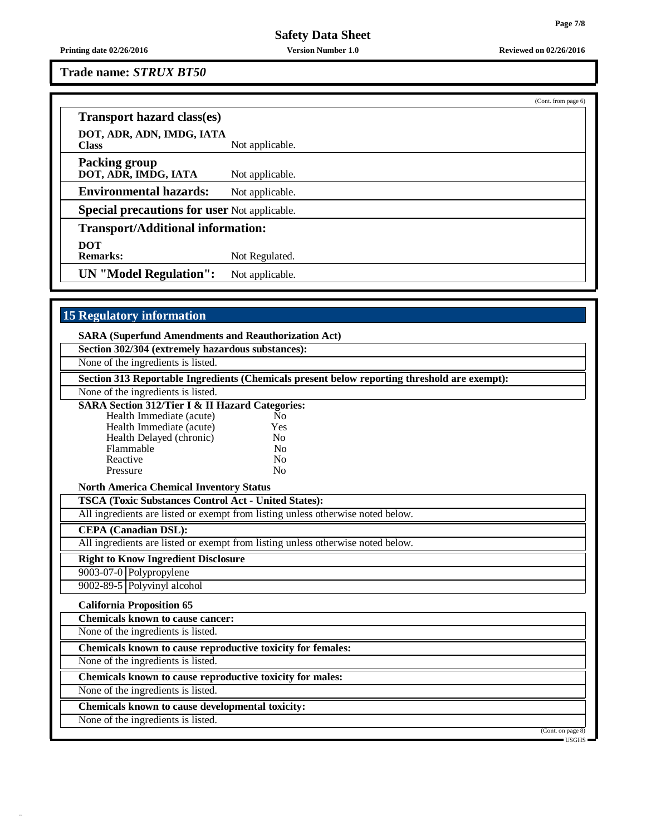**Printing date 02/26/2016 Version Number 1.0 Reviewed on 02/26/2016**

**Trade name:** *STRUX BT50*

|                                                     |                 | (Cont. from page 6) |
|-----------------------------------------------------|-----------------|---------------------|
| <b>Transport hazard class(es)</b>                   |                 |                     |
| DOT, ADR, ADN, IMDG, IATA<br><b>Class</b>           | Not applicable. |                     |
| <b>Packing group</b><br>DOT, ADR, IMDG, IATA        | Not applicable. |                     |
| <b>Environmental hazards:</b>                       | Not applicable. |                     |
| <b>Special precautions for user Not applicable.</b> |                 |                     |
| <b>Transport/Additional information:</b>            |                 |                     |
| <b>DOT</b><br><b>Remarks:</b>                       | Not Regulated.  |                     |
| <b>UN</b> "Model Regulation":                       | Not applicable. |                     |

# **15 Regulatory information**

| Section 302/304 (extremely hazardous substances):                               |                                                                                              |                |  |  |
|---------------------------------------------------------------------------------|----------------------------------------------------------------------------------------------|----------------|--|--|
|                                                                                 | None of the ingredients is listed.                                                           |                |  |  |
|                                                                                 | Section 313 Reportable Ingredients (Chemicals present below reporting threshold are exempt): |                |  |  |
|                                                                                 | None of the ingredients is listed.                                                           |                |  |  |
|                                                                                 | <b>SARA Section 312/Tier I &amp; II Hazard Categories:</b>                                   |                |  |  |
|                                                                                 | Health Immediate (acute)                                                                     | N <sub>0</sub> |  |  |
|                                                                                 | Health Immediate (acute)                                                                     | Yes            |  |  |
|                                                                                 | Health Delayed (chronic)                                                                     | N <sub>0</sub> |  |  |
|                                                                                 | Flammable                                                                                    | No             |  |  |
|                                                                                 | Reactive                                                                                     | No             |  |  |
|                                                                                 | Pressure                                                                                     | N <sub>o</sub> |  |  |
| <b>North America Chemical Inventory Status</b>                                  |                                                                                              |                |  |  |
| <b>TSCA (Toxic Substances Control Act - United States):</b>                     |                                                                                              |                |  |  |
| All ingredients are listed or exempt from listing unless otherwise noted below. |                                                                                              |                |  |  |
|                                                                                 | <b>CEPA</b> (Canadian DSL):                                                                  |                |  |  |
|                                                                                 | All ingredients are listed or exempt from listing unless otherwise noted below.              |                |  |  |
|                                                                                 | <b>Right to Know Ingredient Disclosure</b>                                                   |                |  |  |
|                                                                                 | 9003-07-0 Polypropylene                                                                      |                |  |  |
|                                                                                 | $9002 - 89 - 5$ Polyvinyl alcohol                                                            |                |  |  |
|                                                                                 | <b>California Proposition 65</b>                                                             |                |  |  |

**Chemicals known to cause cancer:**

None of the ingredients is listed.

**Chemicals known to cause reproductive toxicity for females:**

None of the ingredients is listed.

**Chemicals known to cause reproductive toxicity for males:**

None of the ingredients is listed.

**Chemicals known to cause developmental toxicity:**

None of the ingredients is listed.

(Cont. on page 8) USGHS